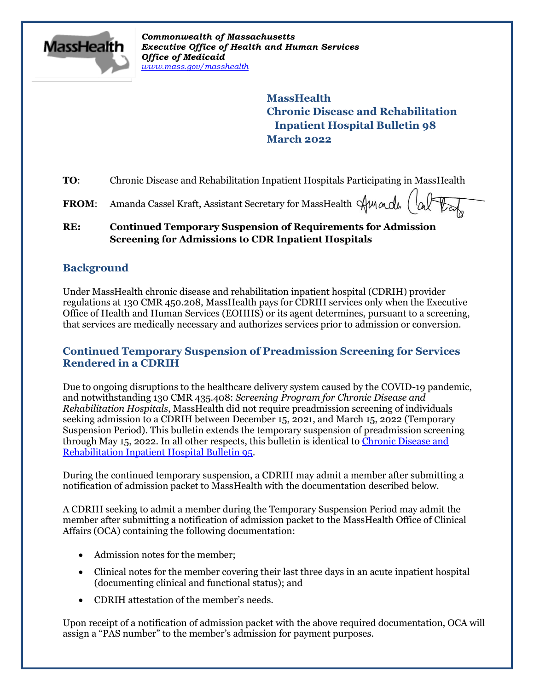

*Commonwealth of Massachusetts Executive Office of Health and Human Services Office of Medicaid [www.mass.gov/masshealth](http://www.mass.gov/masshealth)*

> **MassHealth Chronic Disease and Rehabilitation Inpatient Hospital Bulletin 98 March 2022**

**TO:** Chronic Disease and Rehabilitation Inpatient Hospitals Participating in MassHealth

FROM: Amanda Cassel Kraft, Assistant Secretary for MassHealth  $\mathcal{A}$ Mandh

### **RE: Continued Temporary Suspension of Requirements for Admission Screening for Admissions to CDR Inpatient Hospitals**

# **Background**

Under MassHealth chronic disease and rehabilitation inpatient hospital (CDRIH) provider regulations at 130 CMR 450.208, MassHealth pays for CDRIH services only when the Executive Office of Health and Human Services (EOHHS) or its agent determines, pursuant to a screening, that services are medically necessary and authorizes services prior to admission or conversion.

# **Continued Temporary Suspension of Preadmission Screening for Services Rendered in a CDRIH**

Due to ongoing disruptions to the healthcare delivery system caused by the COVID-19 pandemic, and notwithstanding 130 CMR 435.408: *Screening Program for Chronic Disease and Rehabilitation Hospitals*, MassHealth did not require preadmission screening of individuals seeking admission to a CDRIH between December 15, 2021, and March 15, 2022 (Temporary Suspension Period). This bulletin extends the temporary suspension of preadmission screening through May 15, 2022. In all other respects, this bulletin is identical to [Chronic Disease and](https://www.mass.gov/lists/masshealth-provider-bulletins-by-provider-type-a-c#chronic-disease-and-rehabilitation-inpatient-hospital-provider-bulletins-)  [Rehabilitation Inpatient Hospital Bulletin 95.](https://www.mass.gov/lists/masshealth-provider-bulletins-by-provider-type-a-c#chronic-disease-and-rehabilitation-inpatient-hospital-provider-bulletins-)

During the continued temporary suspension, a CDRIH may admit a member after submitting a notification of admission packet to MassHealth with the documentation described below.

A CDRIH seeking to admit a member during the Temporary Suspension Period may admit the member after submitting a notification of admission packet to the MassHealth Office of Clinical Affairs (OCA) containing the following documentation:

- Admission notes for the member;
- Clinical notes for the member covering their last three days in an acute inpatient hospital (documenting clinical and functional status); and
- CDRIH attestation of the member's needs.

Upon receipt of a notification of admission packet with the above required documentation, OCA will assign a "PAS number" to the member's admission for payment purposes.